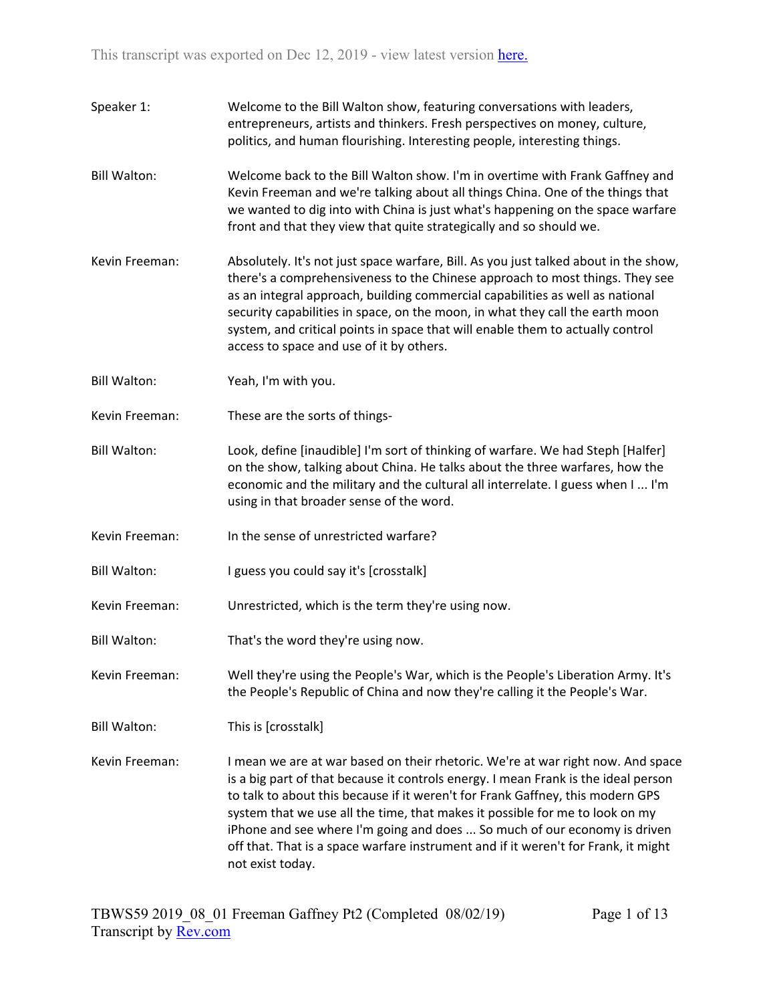- Speaker 1: Welcome to the Bill Walton show, featuring conversations with leaders, entrepreneurs, artists and thinkers. Fresh perspectives on money, culture, politics, and human flourishing. Interesting people, interesting things.
- Bill Walton: Welcome back to the Bill Walton show. I'm in overtime with Frank Gaffney and Kevin Freeman and we're talking about all things China. One of the things that we wanted to dig into with China is just what's happening on the space warfare front and that they view that quite strategically and so should we.
- Kevin Freeman: Absolutely. It's not just space warfare, Bill. As you just talked about in the show, there's a comprehensiveness to the Chinese approach to most things. They see as an integral approach, building commercial capabilities as well as national security capabilities in space, on the moon, in what they call the earth moon system, and critical points in space that will enable them to actually control access to space and use of it by others.
- Bill Walton: Yeah, I'm with you.
- Kevin Freeman: These are the sorts of things-
- Bill Walton: Look, define [inaudible] I'm sort of thinking of warfare. We had Steph [Halfer] on the show, talking about China. He talks about the three warfares, how the economic and the military and the cultural all interrelate. I guess when I ... I'm using in that broader sense of the word.
- Kevin Freeman: In the sense of unrestricted warfare?
- Bill Walton: I guess you could say it's [crosstalk]
- Kevin Freeman: Unrestricted, which is the term they're using now.
- Bill Walton: That's the word they're using now.
- Kevin Freeman: Well they're using the People's War, which is the People's Liberation Army. It's the People's Republic of China and now they're calling it the People's War.
- Bill Walton: This is [crosstalk]
- Kevin Freeman: I mean we are at war based on their rhetoric. We're at war right now. And space is a big part of that because it controls energy. I mean Frank is the ideal person to talk to about this because if it weren't for Frank Gaffney, this modern GPS system that we use all the time, that makes it possible for me to look on my iPhone and see where I'm going and does ... So much of our economy is driven off that. That is a space warfare instrument and if it weren't for Frank, it might not exist today.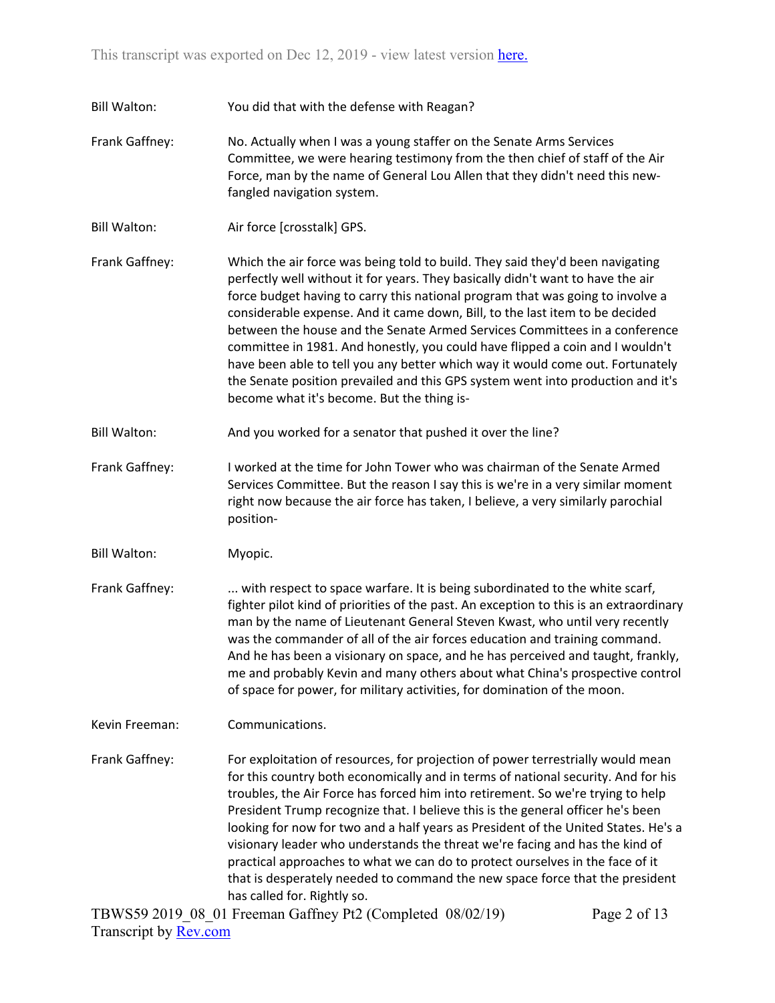Bill Walton: You did that with the defense with Reagan?

- Frank Gaffney: No. Actually when I was a young staffer on the Senate Arms Services Committee, we were hearing testimony from the then chief of staff of the Air Force, man by the name of General Lou Allen that they didn't need this newfangled navigation system.
- Bill Walton: Air force [crosstalk] GPS.
- Frank Gaffney: Which the air force was being told to build. They said they'd been navigating perfectly well without it for years. They basically didn't want to have the air force budget having to carry this national program that was going to involve a considerable expense. And it came down, Bill, to the last item to be decided between the house and the Senate Armed Services Committees in a conference committee in 1981. And honestly, you could have flipped a coin and I wouldn't have been able to tell you any better which way it would come out. Fortunately the Senate position prevailed and this GPS system went into production and it's become what it's become. But the thing is-
- Bill Walton: And you worked for a senator that pushed it over the line?
- Frank Gaffney: I worked at the time for John Tower who was chairman of the Senate Armed Services Committee. But the reason I say this is we're in a very similar moment right now because the air force has taken, I believe, a very similarly parochial position-
- Bill Walton: Myopic.
- Frank Gaffney: ... with respect to space warfare. It is being subordinated to the white scarf, fighter pilot kind of priorities of the past. An exception to this is an extraordinary man by the name of Lieutenant General Steven Kwast, who until very recently was the commander of all of the air forces education and training command. And he has been a visionary on space, and he has perceived and taught, frankly, me and probably Kevin and many others about what China's prospective control of space for power, for military activities, for domination of the moon.

Kevin Freeman: Communications.

Frank Gaffney: For exploitation of resources, for projection of power terrestrially would mean for this country both economically and in terms of national security. And for his troubles, the Air Force has forced him into retirement. So we're trying to help President Trump recognize that. I believe this is the general officer he's been looking for now for two and a half years as President of the United States. He's a visionary leader who understands the threat we're facing and has the kind of practical approaches to what we can do to protect ourselves in the face of it that is desperately needed to command the new space force that the president has called for. Rightly so.

TBWS59 2019\_08\_01 Freeman Gaffney Pt2 (Completed 08/02/19) Transcript by [Rev.com](https://www.rev.com/)

Page 2 of 13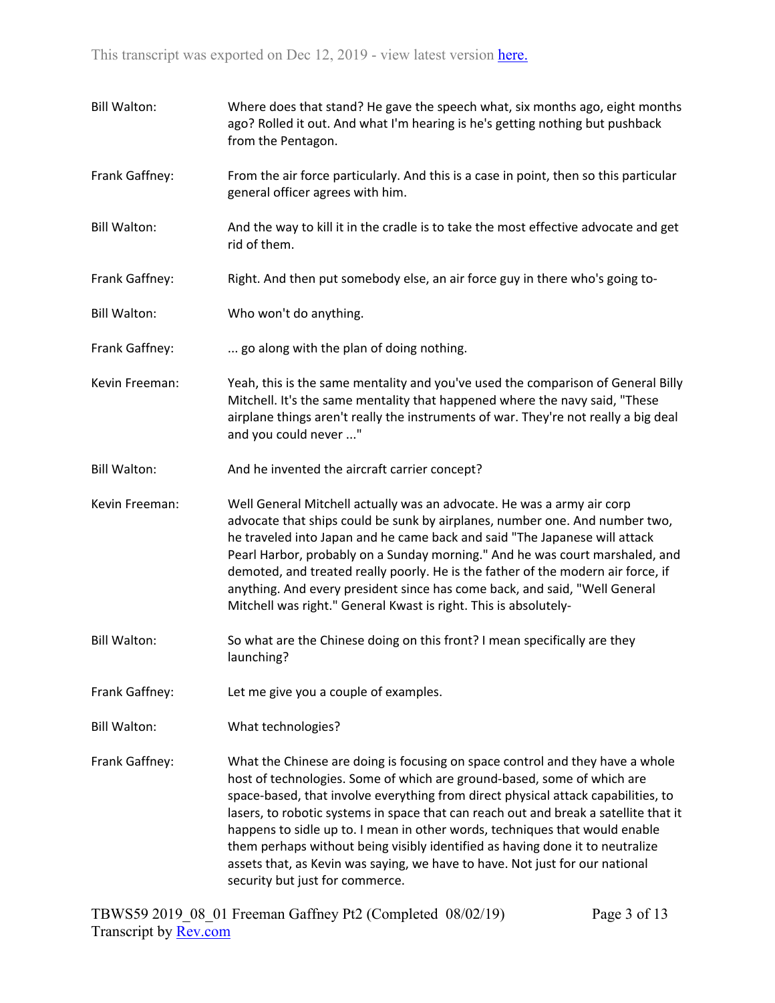Bill Walton: Where does that stand? He gave the speech what, six months ago, eight months ago? Rolled it out. And what I'm hearing is he's getting nothing but pushback from the Pentagon. Frank Gaffney: From the air force particularly. And this is a case in point, then so this particular general officer agrees with him. Bill Walton: And the way to kill it in the cradle is to take the most effective advocate and get rid of them. Frank Gaffney: Right. And then put somebody else, an air force guy in there who's going to-Bill Walton: Who won't do anything. Frank Gaffney: ... go along with the plan of doing nothing. Kevin Freeman: Yeah, this is the same mentality and you've used the comparison of General Billy Mitchell. It's the same mentality that happened where the navy said, "These airplane things aren't really the instruments of war. They're not really a big deal and you could never ..." Bill Walton: And he invented the aircraft carrier concept? Kevin Freeman: Well General Mitchell actually was an advocate. He was a army air corp advocate that ships could be sunk by airplanes, number one. And number two, he traveled into Japan and he came back and said "The Japanese will attack Pearl Harbor, probably on a Sunday morning." And he was court marshaled, and demoted, and treated really poorly. He is the father of the modern air force, if anything. And every president since has come back, and said, "Well General Mitchell was right." General Kwast is right. This is absolutely-Bill Walton: So what are the Chinese doing on this front? I mean specifically are they launching? Frank Gaffney: Let me give you a couple of examples. Bill Walton: What technologies? Frank Gaffney: What the Chinese are doing is focusing on space control and they have a whole host of technologies. Some of which are ground-based, some of which are space-based, that involve everything from direct physical attack capabilities, to lasers, to robotic systems in space that can reach out and break a satellite that it happens to sidle up to. I mean in other words, techniques that would enable them perhaps without being visibly identified as having done it to neutralize assets that, as Kevin was saying, we have to have. Not just for our national security but just for commerce.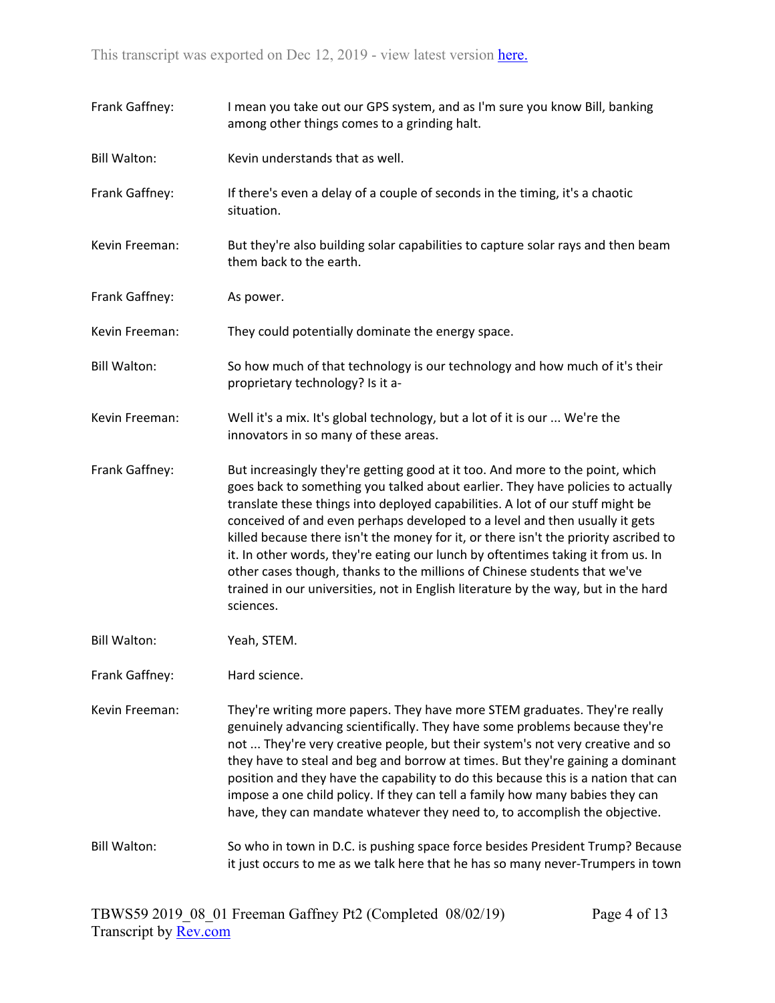| Frank Gaffney:      | I mean you take out our GPS system, and as I'm sure you know Bill, banking<br>among other things comes to a grinding halt.                                                                                                                                                                                                                                                                                                                                                                                                                                                                                                                                                                    |
|---------------------|-----------------------------------------------------------------------------------------------------------------------------------------------------------------------------------------------------------------------------------------------------------------------------------------------------------------------------------------------------------------------------------------------------------------------------------------------------------------------------------------------------------------------------------------------------------------------------------------------------------------------------------------------------------------------------------------------|
| <b>Bill Walton:</b> | Kevin understands that as well.                                                                                                                                                                                                                                                                                                                                                                                                                                                                                                                                                                                                                                                               |
| Frank Gaffney:      | If there's even a delay of a couple of seconds in the timing, it's a chaotic<br>situation.                                                                                                                                                                                                                                                                                                                                                                                                                                                                                                                                                                                                    |
| Kevin Freeman:      | But they're also building solar capabilities to capture solar rays and then beam<br>them back to the earth.                                                                                                                                                                                                                                                                                                                                                                                                                                                                                                                                                                                   |
| Frank Gaffney:      | As power.                                                                                                                                                                                                                                                                                                                                                                                                                                                                                                                                                                                                                                                                                     |
| Kevin Freeman:      | They could potentially dominate the energy space.                                                                                                                                                                                                                                                                                                                                                                                                                                                                                                                                                                                                                                             |
| <b>Bill Walton:</b> | So how much of that technology is our technology and how much of it's their<br>proprietary technology? Is it a-                                                                                                                                                                                                                                                                                                                                                                                                                                                                                                                                                                               |
| Kevin Freeman:      | Well it's a mix. It's global technology, but a lot of it is our  We're the<br>innovators in so many of these areas.                                                                                                                                                                                                                                                                                                                                                                                                                                                                                                                                                                           |
| Frank Gaffney:      | But increasingly they're getting good at it too. And more to the point, which<br>goes back to something you talked about earlier. They have policies to actually<br>translate these things into deployed capabilities. A lot of our stuff might be<br>conceived of and even perhaps developed to a level and then usually it gets<br>killed because there isn't the money for it, or there isn't the priority ascribed to<br>it. In other words, they're eating our lunch by oftentimes taking it from us. In<br>other cases though, thanks to the millions of Chinese students that we've<br>trained in our universities, not in English literature by the way, but in the hard<br>sciences. |
| <b>Bill Walton:</b> | Yeah, STEM.                                                                                                                                                                                                                                                                                                                                                                                                                                                                                                                                                                                                                                                                                   |
| Frank Gaffney:      | Hard science.                                                                                                                                                                                                                                                                                                                                                                                                                                                                                                                                                                                                                                                                                 |
| Kevin Freeman:      | They're writing more papers. They have more STEM graduates. They're really<br>genuinely advancing scientifically. They have some problems because they're<br>not  They're very creative people, but their system's not very creative and so<br>they have to steal and beg and borrow at times. But they're gaining a dominant<br>position and they have the capability to do this because this is a nation that can<br>impose a one child policy. If they can tell a family how many babies they can<br>have, they can mandate whatever they need to, to accomplish the objective.                                                                                                            |
| <b>Bill Walton:</b> | So who in town in D.C. is pushing space force besides President Trump? Because<br>it just occurs to me as we talk here that he has so many never-Trumpers in town                                                                                                                                                                                                                                                                                                                                                                                                                                                                                                                             |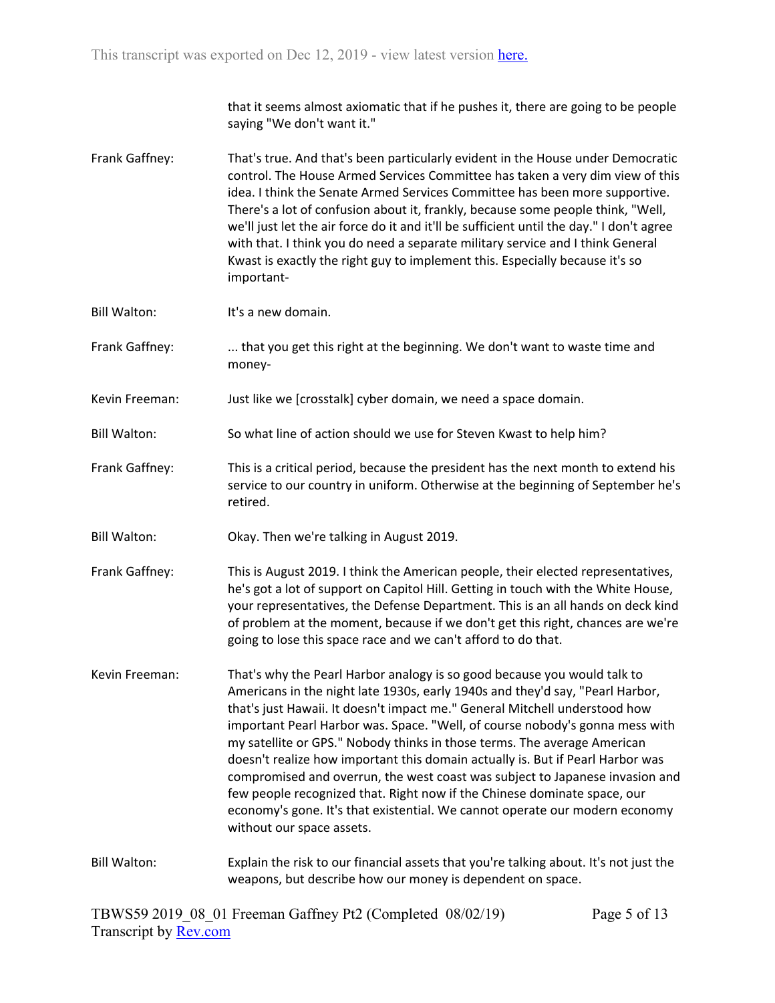that it seems almost axiomatic that if he pushes it, there are going to be people saying "We don't want it."

- Frank Gaffney: That's true. And that's been particularly evident in the House under Democratic control. The House Armed Services Committee has taken a very dim view of this idea. I think the Senate Armed Services Committee has been more supportive. There's a lot of confusion about it, frankly, because some people think, "Well, we'll just let the air force do it and it'll be sufficient until the day." I don't agree with that. I think you do need a separate military service and I think General Kwast is exactly the right guy to implement this. Especially because it's so important-
- Bill Walton: It's a new domain.
- Frank Gaffney: .... that you get this right at the beginning. We don't want to waste time and money-
- Kevin Freeman: Just like we [crosstalk] cyber domain, we need a space domain.
- Bill Walton: So what line of action should we use for Steven Kwast to help him?
- Frank Gaffney: This is a critical period, because the president has the next month to extend his service to our country in uniform. Otherwise at the beginning of September he's retired.
- Bill Walton: Okay. Then we're talking in August 2019.
- Frank Gaffney: This is August 2019. I think the American people, their elected representatives, he's got a lot of support on Capitol Hill. Getting in touch with the White House, your representatives, the Defense Department. This is an all hands on deck kind of problem at the moment, because if we don't get this right, chances are we're going to lose this space race and we can't afford to do that.
- Kevin Freeman: That's why the Pearl Harbor analogy is so good because you would talk to Americans in the night late 1930s, early 1940s and they'd say, "Pearl Harbor, that's just Hawaii. It doesn't impact me." General Mitchell understood how important Pearl Harbor was. Space. "Well, of course nobody's gonna mess with my satellite or GPS." Nobody thinks in those terms. The average American doesn't realize how important this domain actually is. But if Pearl Harbor was compromised and overrun, the west coast was subject to Japanese invasion and few people recognized that. Right now if the Chinese dominate space, our economy's gone. It's that existential. We cannot operate our modern economy without our space assets.

## Bill Walton: Explain the risk to our financial assets that you're talking about. It's not just the weapons, but describe how our money is dependent on space.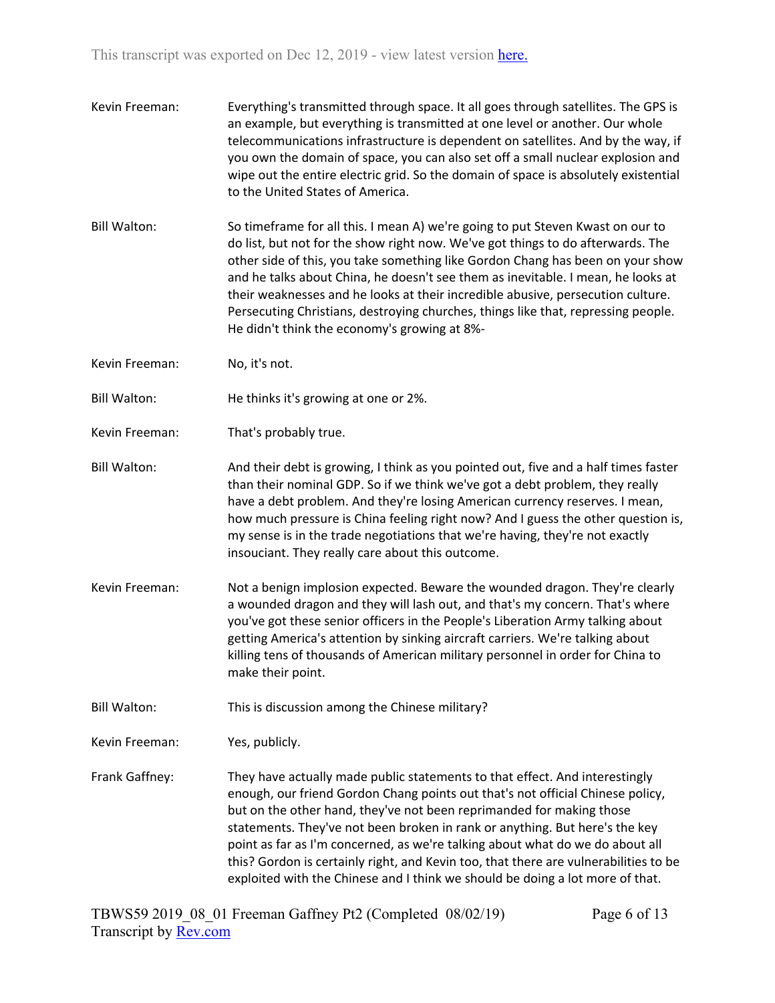- Kevin Freeman: Everything's transmitted through space. It all goes through satellites. The GPS is an example, but everything is transmitted at one level or another. Our whole telecommunications infrastructure is dependent on satellites. And by the way, if you own the domain of space, you can also set off a small nuclear explosion and wipe out the entire electric grid. So the domain of space is absolutely existential to the United States of America.
- Bill Walton: So timeframe for all this. I mean A) we're going to put Steven Kwast on our to do list, but not for the show right now. We've got things to do afterwards. The other side of this, you take something like Gordon Chang has been on your show and he talks about China, he doesn't see them as inevitable. I mean, he looks at their weaknesses and he looks at their incredible abusive, persecution culture. Persecuting Christians, destroying churches, things like that, repressing people. He didn't think the economy's growing at 8%-
- Kevin Freeman: No, it's not.
- Bill Walton: He thinks it's growing at one or 2%.
- Kevin Freeman: That's probably true.
- Bill Walton: And their debt is growing, I think as you pointed out, five and a half times faster than their nominal GDP. So if we think we've got a debt problem, they really have a debt problem. And they're losing American currency reserves. I mean, how much pressure is China feeling right now? And I guess the other question is, my sense is in the trade negotiations that we're having, they're not exactly insouciant. They really care about this outcome.
- Kevin Freeman: Not a benign implosion expected. Beware the wounded dragon. They're clearly a wounded dragon and they will lash out, and that's my concern. That's where you've got these senior officers in the People's Liberation Army talking about getting America's attention by sinking aircraft carriers. We're talking about killing tens of thousands of American military personnel in order for China to make their point.
- Bill Walton: This is discussion among the Chinese military?

Kevin Freeman: Yes, publicly.

Frank Gaffney: They have actually made public statements to that effect. And interestingly enough, our friend Gordon Chang points out that's not official Chinese policy, but on the other hand, they've not been reprimanded for making those statements. They've not been broken in rank or anything. But here's the key point as far as I'm concerned, as we're talking about what do we do about all this? Gordon is certainly right, and Kevin too, that there are vulnerabilities to be exploited with the Chinese and I think we should be doing a lot more of that.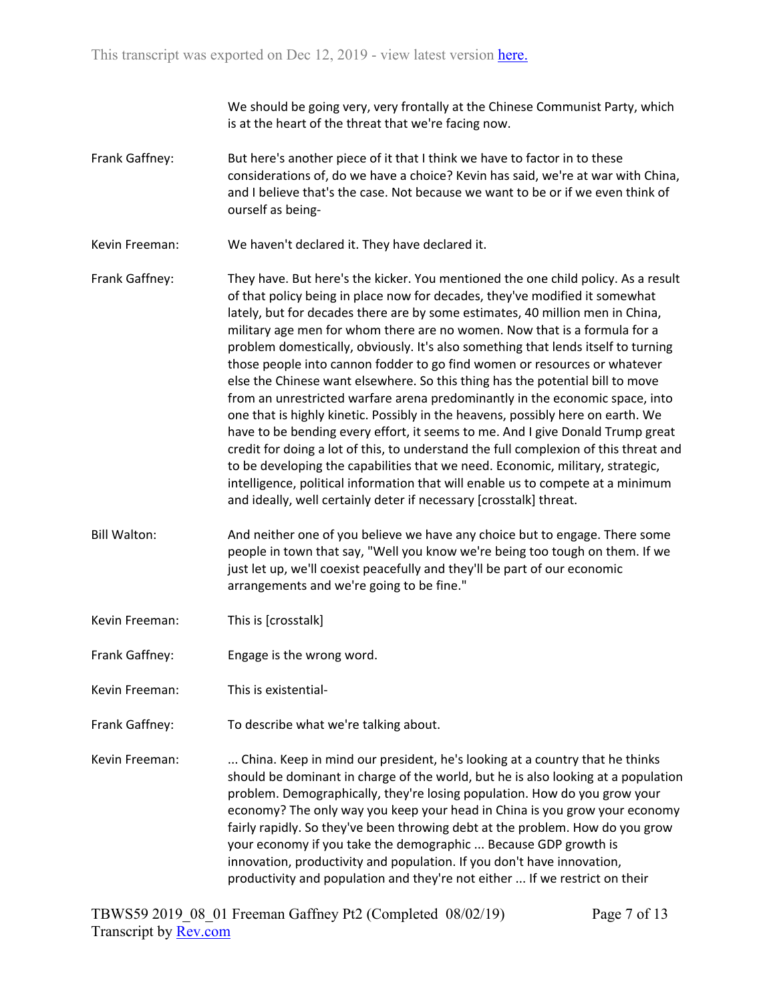We should be going very, very frontally at the Chinese Communist Party, which is at the heart of the threat that we're facing now.

- Frank Gaffney: But here's another piece of it that I think we have to factor in to these considerations of, do we have a choice? Kevin has said, we're at war with China, and I believe that's the case. Not because we want to be or if we even think of ourself as being-
- Kevin Freeman: We haven't declared it. They have declared it.
- Frank Gaffney: They have. But here's the kicker. You mentioned the one child policy. As a result of that policy being in place now for decades, they've modified it somewhat lately, but for decades there are by some estimates, 40 million men in China, military age men for whom there are no women. Now that is a formula for a problem domestically, obviously. It's also something that lends itself to turning those people into cannon fodder to go find women or resources or whatever else the Chinese want elsewhere. So this thing has the potential bill to move from an unrestricted warfare arena predominantly in the economic space, into one that is highly kinetic. Possibly in the heavens, possibly here on earth. We have to be bending every effort, it seems to me. And I give Donald Trump great credit for doing a lot of this, to understand the full complexion of this threat and to be developing the capabilities that we need. Economic, military, strategic, intelligence, political information that will enable us to compete at a minimum and ideally, well certainly deter if necessary [crosstalk] threat.
- Bill Walton: And neither one of you believe we have any choice but to engage. There some people in town that say, "Well you know we're being too tough on them. If we just let up, we'll coexist peacefully and they'll be part of our economic arrangements and we're going to be fine."
- Kevin Freeman: This is [crosstalk]
- Frank Gaffney: Engage is the wrong word.
- Kevin Freeman: This is existential-
- Frank Gaffney: To describe what we're talking about.
- Kevin Freeman: ... China. Keep in mind our president, he's looking at a country that he thinks should be dominant in charge of the world, but he is also looking at a population problem. Demographically, they're losing population. How do you grow your economy? The only way you keep your head in China is you grow your economy fairly rapidly. So they've been throwing debt at the problem. How do you grow your economy if you take the demographic ... Because GDP growth is innovation, productivity and population. If you don't have innovation, productivity and population and they're not either ... If we restrict on their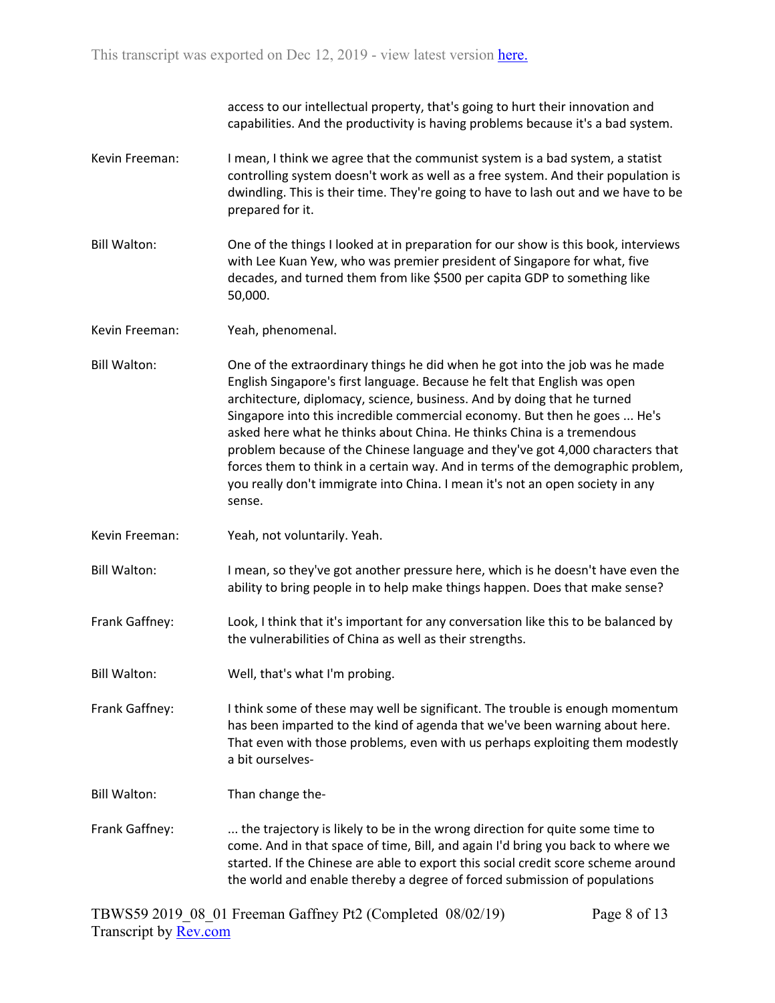access to our intellectual property, that's going to hurt their innovation and capabilities. And the productivity is having problems because it's a bad system.

- Kevin Freeman: I mean, I think we agree that the communist system is a bad system, a statist controlling system doesn't work as well as a free system. And their population is dwindling. This is their time. They're going to have to lash out and we have to be prepared for it.
- Bill Walton: One of the things I looked at in preparation for our show is this book, interviews with Lee Kuan Yew, who was premier president of Singapore for what, five decades, and turned them from like \$500 per capita GDP to something like 50,000.
- Kevin Freeman: Yeah, phenomenal.
- Bill Walton: One of the extraordinary things he did when he got into the job was he made English Singapore's first language. Because he felt that English was open architecture, diplomacy, science, business. And by doing that he turned Singapore into this incredible commercial economy. But then he goes ... He's asked here what he thinks about China. He thinks China is a tremendous problem because of the Chinese language and they've got 4,000 characters that forces them to think in a certain way. And in terms of the demographic problem, you really don't immigrate into China. I mean it's not an open society in any sense.
- Kevin Freeman: Yeah, not voluntarily. Yeah.
- Bill Walton: I mean, so they've got another pressure here, which is he doesn't have even the ability to bring people in to help make things happen. Does that make sense?
- Frank Gaffney: Look, I think that it's important for any conversation like this to be balanced by the vulnerabilities of China as well as their strengths.
- Bill Walton: Well, that's what I'm probing.

Frank Gaffney: I think some of these may well be significant. The trouble is enough momentum has been imparted to the kind of agenda that we've been warning about here. That even with those problems, even with us perhaps exploiting them modestly a bit ourselves-

- Bill Walton: Than change the-
- Frank Gaffney: ... the trajectory is likely to be in the wrong direction for quite some time to come. And in that space of time, Bill, and again I'd bring you back to where we started. If the Chinese are able to export this social credit score scheme around the world and enable thereby a degree of forced submission of populations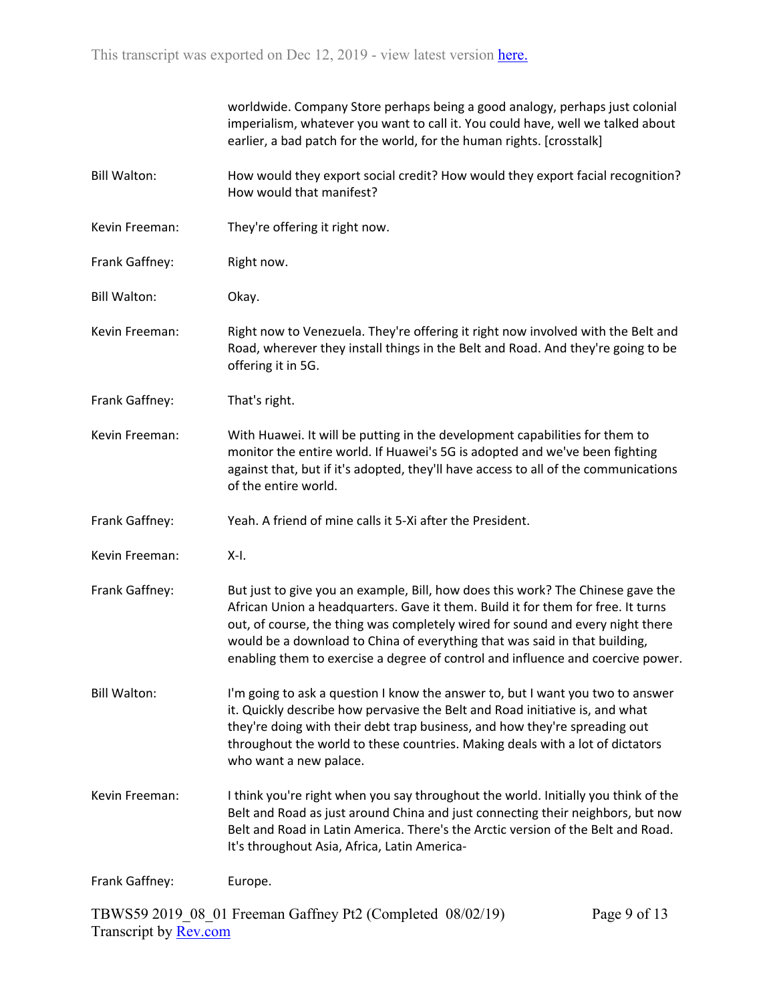|                     | worldwide. Company Store perhaps being a good analogy, perhaps just colonial<br>imperialism, whatever you want to call it. You could have, well we talked about<br>earlier, a bad patch for the world, for the human rights. [crosstalk]                                                                                                                                                                               |
|---------------------|------------------------------------------------------------------------------------------------------------------------------------------------------------------------------------------------------------------------------------------------------------------------------------------------------------------------------------------------------------------------------------------------------------------------|
| <b>Bill Walton:</b> | How would they export social credit? How would they export facial recognition?<br>How would that manifest?                                                                                                                                                                                                                                                                                                             |
| Kevin Freeman:      | They're offering it right now.                                                                                                                                                                                                                                                                                                                                                                                         |
| Frank Gaffney:      | Right now.                                                                                                                                                                                                                                                                                                                                                                                                             |
| <b>Bill Walton:</b> | Okay.                                                                                                                                                                                                                                                                                                                                                                                                                  |
| Kevin Freeman:      | Right now to Venezuela. They're offering it right now involved with the Belt and<br>Road, wherever they install things in the Belt and Road. And they're going to be<br>offering it in 5G.                                                                                                                                                                                                                             |
| Frank Gaffney:      | That's right.                                                                                                                                                                                                                                                                                                                                                                                                          |
| Kevin Freeman:      | With Huawei. It will be putting in the development capabilities for them to<br>monitor the entire world. If Huawei's 5G is adopted and we've been fighting<br>against that, but if it's adopted, they'll have access to all of the communications<br>of the entire world.                                                                                                                                              |
| Frank Gaffney:      | Yeah. A friend of mine calls it 5-Xi after the President.                                                                                                                                                                                                                                                                                                                                                              |
| Kevin Freeman:      | X-I.                                                                                                                                                                                                                                                                                                                                                                                                                   |
| Frank Gaffney:      | But just to give you an example, Bill, how does this work? The Chinese gave the<br>African Union a headquarters. Gave it them. Build it for them for free. It turns<br>out, of course, the thing was completely wired for sound and every night there<br>would be a download to China of everything that was said in that building,<br>enabling them to exercise a degree of control and influence and coercive power. |
| <b>Bill Walton:</b> | I'm going to ask a question I know the answer to, but I want you two to answer<br>it. Quickly describe how pervasive the Belt and Road initiative is, and what<br>they're doing with their debt trap business, and how they're spreading out<br>throughout the world to these countries. Making deals with a lot of dictators<br>who want a new palace.                                                                |
| Kevin Freeman:      | I think you're right when you say throughout the world. Initially you think of the<br>Belt and Road as just around China and just connecting their neighbors, but now<br>Belt and Road in Latin America. There's the Arctic version of the Belt and Road.<br>It's throughout Asia, Africa, Latin America-                                                                                                              |
| Frank Gaffney:      | Europe.                                                                                                                                                                                                                                                                                                                                                                                                                |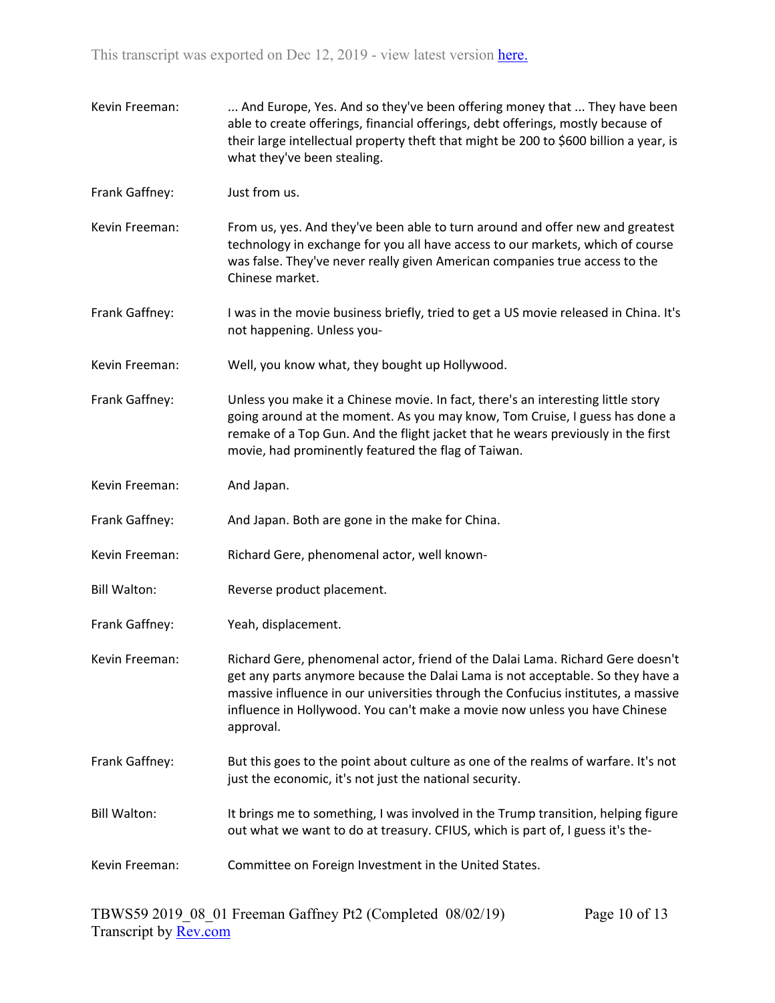Kevin Freeman: ... And Europe, Yes. And so they've been offering money that ... They have been able to create offerings, financial offerings, debt offerings, mostly because of their large intellectual property theft that might be 200 to \$600 billion a year, is what they've been stealing. Frank Gaffney: Just from us. Kevin Freeman: From us, yes. And they've been able to turn around and offer new and greatest technology in exchange for you all have access to our markets, which of course was false. They've never really given American companies true access to the Chinese market. Frank Gaffney: I was in the movie business briefly, tried to get a US movie released in China. It's not happening. Unless you-Kevin Freeman: Well, you know what, they bought up Hollywood. Frank Gaffney: Unless you make it a Chinese movie. In fact, there's an interesting little story going around at the moment. As you may know, Tom Cruise, I guess has done a remake of a Top Gun. And the flight jacket that he wears previously in the first movie, had prominently featured the flag of Taiwan. Kevin Freeman: And Japan. Frank Gaffney: And Japan. Both are gone in the make for China. Kevin Freeman: Richard Gere, phenomenal actor, well known-Bill Walton: Reverse product placement. Frank Gaffney: Yeah, displacement. Kevin Freeman: Richard Gere, phenomenal actor, friend of the Dalai Lama. Richard Gere doesn't get any parts anymore because the Dalai Lama is not acceptable. So they have a massive influence in our universities through the Confucius institutes, a massive influence in Hollywood. You can't make a movie now unless you have Chinese approval. Frank Gaffney: But this goes to the point about culture as one of the realms of warfare. It's not just the economic, it's not just the national security. Bill Walton: It brings me to something, I was involved in the Trump transition, helping figure out what we want to do at treasury. CFIUS, which is part of, I guess it's the-Kevin Freeman: Committee on Foreign Investment in the United States.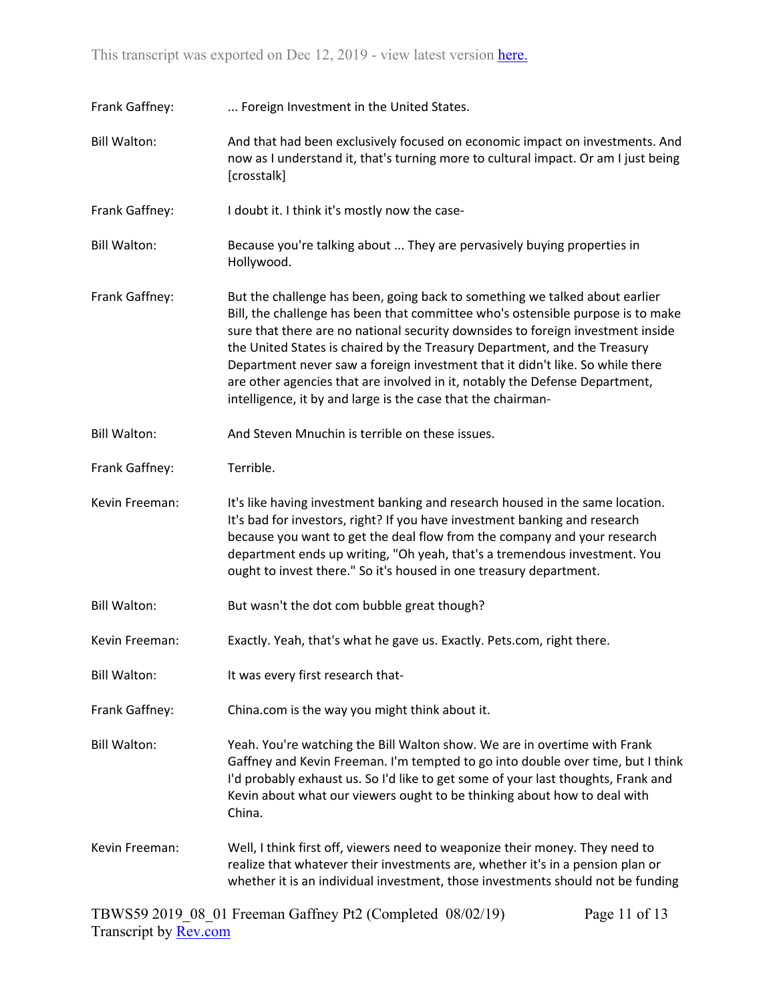| Frank Gaffney:      | Foreign Investment in the United States.                                                                                                                                                                                                                                                                                                                                                                                                                                                                                                                       |
|---------------------|----------------------------------------------------------------------------------------------------------------------------------------------------------------------------------------------------------------------------------------------------------------------------------------------------------------------------------------------------------------------------------------------------------------------------------------------------------------------------------------------------------------------------------------------------------------|
| <b>Bill Walton:</b> | And that had been exclusively focused on economic impact on investments. And<br>now as I understand it, that's turning more to cultural impact. Or am I just being<br>[crosstalk]                                                                                                                                                                                                                                                                                                                                                                              |
| Frank Gaffney:      | I doubt it. I think it's mostly now the case-                                                                                                                                                                                                                                                                                                                                                                                                                                                                                                                  |
| <b>Bill Walton:</b> | Because you're talking about  They are pervasively buying properties in<br>Hollywood.                                                                                                                                                                                                                                                                                                                                                                                                                                                                          |
| Frank Gaffney:      | But the challenge has been, going back to something we talked about earlier<br>Bill, the challenge has been that committee who's ostensible purpose is to make<br>sure that there are no national security downsides to foreign investment inside<br>the United States is chaired by the Treasury Department, and the Treasury<br>Department never saw a foreign investment that it didn't like. So while there<br>are other agencies that are involved in it, notably the Defense Department,<br>intelligence, it by and large is the case that the chairman- |
| <b>Bill Walton:</b> | And Steven Mnuchin is terrible on these issues.                                                                                                                                                                                                                                                                                                                                                                                                                                                                                                                |
| Frank Gaffney:      | Terrible.                                                                                                                                                                                                                                                                                                                                                                                                                                                                                                                                                      |
| Kevin Freeman:      | It's like having investment banking and research housed in the same location.<br>It's bad for investors, right? If you have investment banking and research<br>because you want to get the deal flow from the company and your research<br>department ends up writing, "Oh yeah, that's a tremendous investment. You<br>ought to invest there." So it's housed in one treasury department.                                                                                                                                                                     |
| <b>Bill Walton:</b> | But wasn't the dot com bubble great though?                                                                                                                                                                                                                                                                                                                                                                                                                                                                                                                    |
| Kevin Freeman:      | Exactly. Yeah, that's what he gave us. Exactly. Pets.com, right there.                                                                                                                                                                                                                                                                                                                                                                                                                                                                                         |
| <b>Bill Walton:</b> | It was every first research that-                                                                                                                                                                                                                                                                                                                                                                                                                                                                                                                              |
| Frank Gaffney:      | China.com is the way you might think about it.                                                                                                                                                                                                                                                                                                                                                                                                                                                                                                                 |
| <b>Bill Walton:</b> | Yeah. You're watching the Bill Walton show. We are in overtime with Frank<br>Gaffney and Kevin Freeman. I'm tempted to go into double over time, but I think<br>I'd probably exhaust us. So I'd like to get some of your last thoughts, Frank and<br>Kevin about what our viewers ought to be thinking about how to deal with<br>China.                                                                                                                                                                                                                        |
| Kevin Freeman:      | Well, I think first off, viewers need to weaponize their money. They need to<br>realize that whatever their investments are, whether it's in a pension plan or<br>whether it is an individual investment, those investments should not be funding                                                                                                                                                                                                                                                                                                              |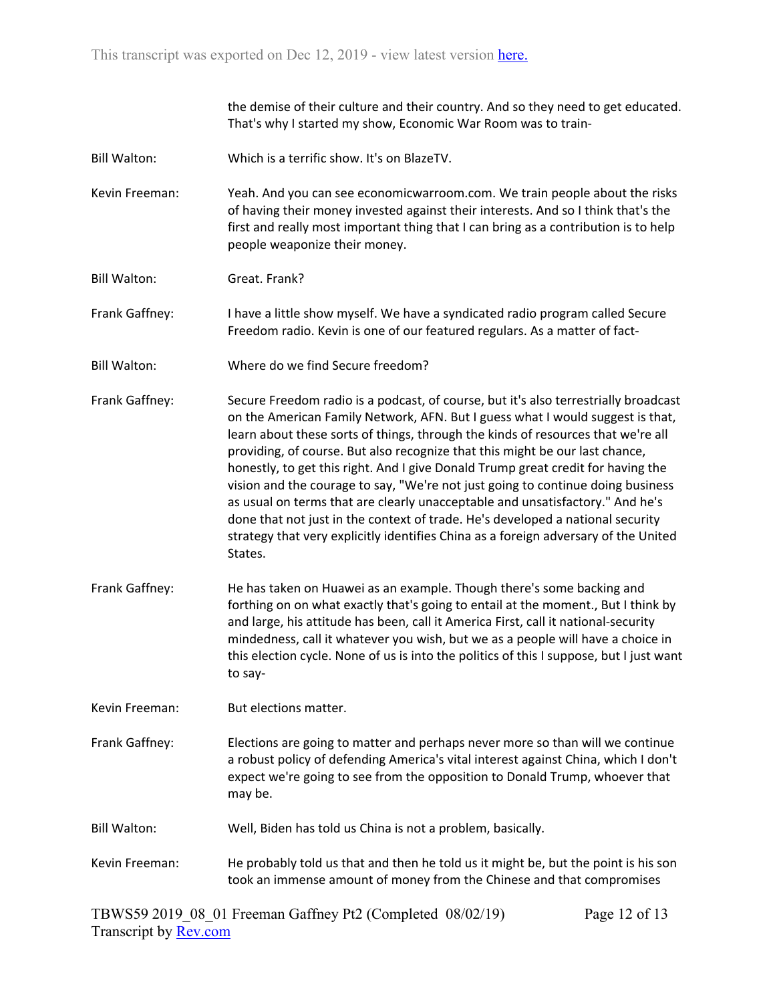the demise of their culture and their country. And so they need to get educated. That's why I started my show, Economic War Room was to train-

- Bill Walton: Which is a terrific show. It's on BlazeTV.
- Kevin Freeman: Yeah. And you can see economicwarroom.com. We train people about the risks of having their money invested against their interests. And so I think that's the first and really most important thing that I can bring as a contribution is to help people weaponize their money.
- Bill Walton: Great. Frank?
- Frank Gaffney: I have a little show myself. We have a syndicated radio program called Secure Freedom radio. Kevin is one of our featured regulars. As a matter of fact-
- Bill Walton: Where do we find Secure freedom?
- Frank Gaffney: Secure Freedom radio is a podcast, of course, but it's also terrestrially broadcast on the American Family Network, AFN. But I guess what I would suggest is that, learn about these sorts of things, through the kinds of resources that we're all providing, of course. But also recognize that this might be our last chance, honestly, to get this right. And I give Donald Trump great credit for having the vision and the courage to say, "We're not just going to continue doing business as usual on terms that are clearly unacceptable and unsatisfactory." And he's done that not just in the context of trade. He's developed a national security strategy that very explicitly identifies China as a foreign adversary of the United States.
- Frank Gaffney: He has taken on Huawei as an example. Though there's some backing and forthing on on what exactly that's going to entail at the moment., But I think by and large, his attitude has been, call it America First, call it national-security mindedness, call it whatever you wish, but we as a people will have a choice in this election cycle. None of us is into the politics of this I suppose, but I just want to say-
- Kevin Freeman: But elections matter.
- Frank Gaffney: Elections are going to matter and perhaps never more so than will we continue a robust policy of defending America's vital interest against China, which I don't expect we're going to see from the opposition to Donald Trump, whoever that may be.
- Bill Walton: Well, Biden has told us China is not a problem, basically.
- Kevin Freeman: He probably told us that and then he told us it might be, but the point is his son took an immense amount of money from the Chinese and that compromises